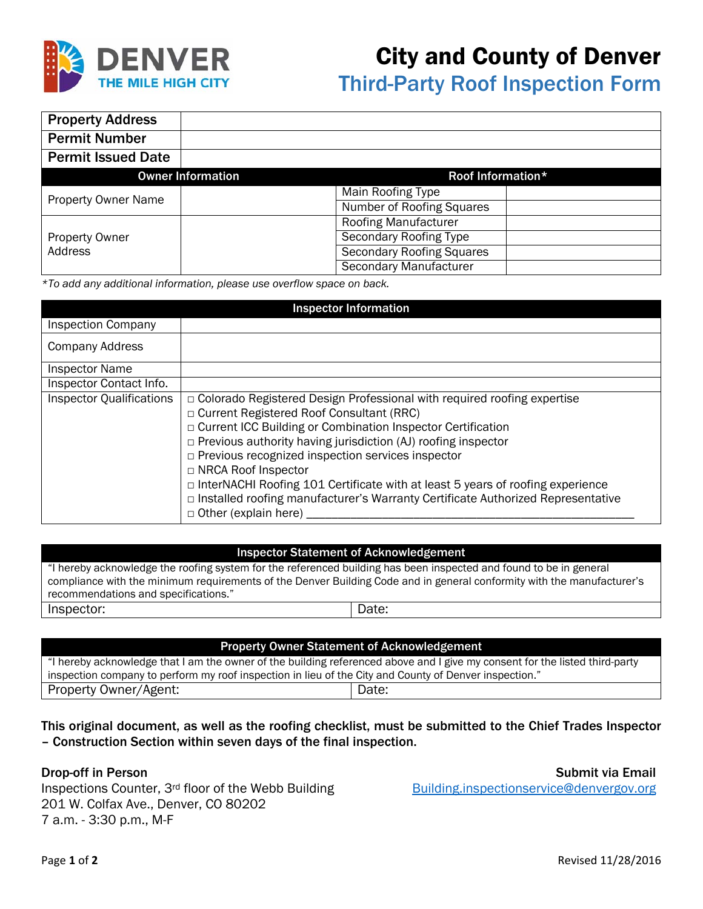

## City and County of Denver

Third-Party Roof Inspection Form

| <b>Property Address</b>    |                                  |
|----------------------------|----------------------------------|
| <b>Permit Number</b>       |                                  |
| <b>Permit Issued Date</b>  |                                  |
| <b>Owner Information</b>   | Roof Information*                |
| <b>Property Owner Name</b> | Main Roofing Type                |
|                            | Number of Roofing Squares        |
|                            | Roofing Manufacturer             |
| <b>Property Owner</b>      | <b>Secondary Roofing Type</b>    |
| Address                    | <b>Secondary Roofing Squares</b> |
|                            | <b>Secondary Manufacturer</b>    |

*\*To add any additional information, please use overflow space on back.* 

| <b>Inspector Information</b>    |                                                                                                                                                                                                                                                                                                                                                                                                                                                                                                                                                                    |  |
|---------------------------------|--------------------------------------------------------------------------------------------------------------------------------------------------------------------------------------------------------------------------------------------------------------------------------------------------------------------------------------------------------------------------------------------------------------------------------------------------------------------------------------------------------------------------------------------------------------------|--|
| <b>Inspection Company</b>       |                                                                                                                                                                                                                                                                                                                                                                                                                                                                                                                                                                    |  |
| <b>Company Address</b>          |                                                                                                                                                                                                                                                                                                                                                                                                                                                                                                                                                                    |  |
| <b>Inspector Name</b>           |                                                                                                                                                                                                                                                                                                                                                                                                                                                                                                                                                                    |  |
| Inspector Contact Info.         |                                                                                                                                                                                                                                                                                                                                                                                                                                                                                                                                                                    |  |
| <b>Inspector Qualifications</b> | $\Box$ Colorado Registered Design Professional with required roofing expertise<br>□ Current Registered Roof Consultant (RRC)<br>□ Current ICC Building or Combination Inspector Certification<br>$\Box$ Previous authority having jurisdiction (AJ) roofing inspector<br>□ Previous recognized inspection services inspector<br>□ NRCA Roof Inspector<br>$\Box$ InterNACHI Roofing 101 Certificate with at least 5 years of roofing experience<br>□ Installed roofing manufacturer's Warranty Certificate Authorized Representative<br>$\Box$ Other (explain here) |  |

## Inspector Statement of Acknowledgement

"I hereby acknowledge the roofing system for the referenced building has been inspected and found to be in general compliance with the minimum requirements of the Denver Building Code and in general conformity with the manufacturer's recommendations and specifications." Inspector:  $|$ Date:

| <b>Property Owner Statement of Acknowledgement</b>                                                                          |       |  |  |  |
|-----------------------------------------------------------------------------------------------------------------------------|-------|--|--|--|
| "I hereby acknowledge that I am the owner of the building referenced above and I give my consent for the listed third-party |       |  |  |  |
| inspection company to perform my roof inspection in lieu of the City and County of Denver inspection."                      |       |  |  |  |
| Property Owner/Agent:                                                                                                       | Date: |  |  |  |

This original document, as well as the roofing checklist, must be submitted to the Chief Trades Inspector – Construction Section within seven days of the final inspection.

Inspections Counter, 3<sup>rd</sup> floor of the Webb Building Building.inspectionservice@denvergov.org 201 W. Colfax Ave., Denver, CO 80202 7 a.m. - 3:30 p.m., M-F

Drop-off in Person Submit via Email